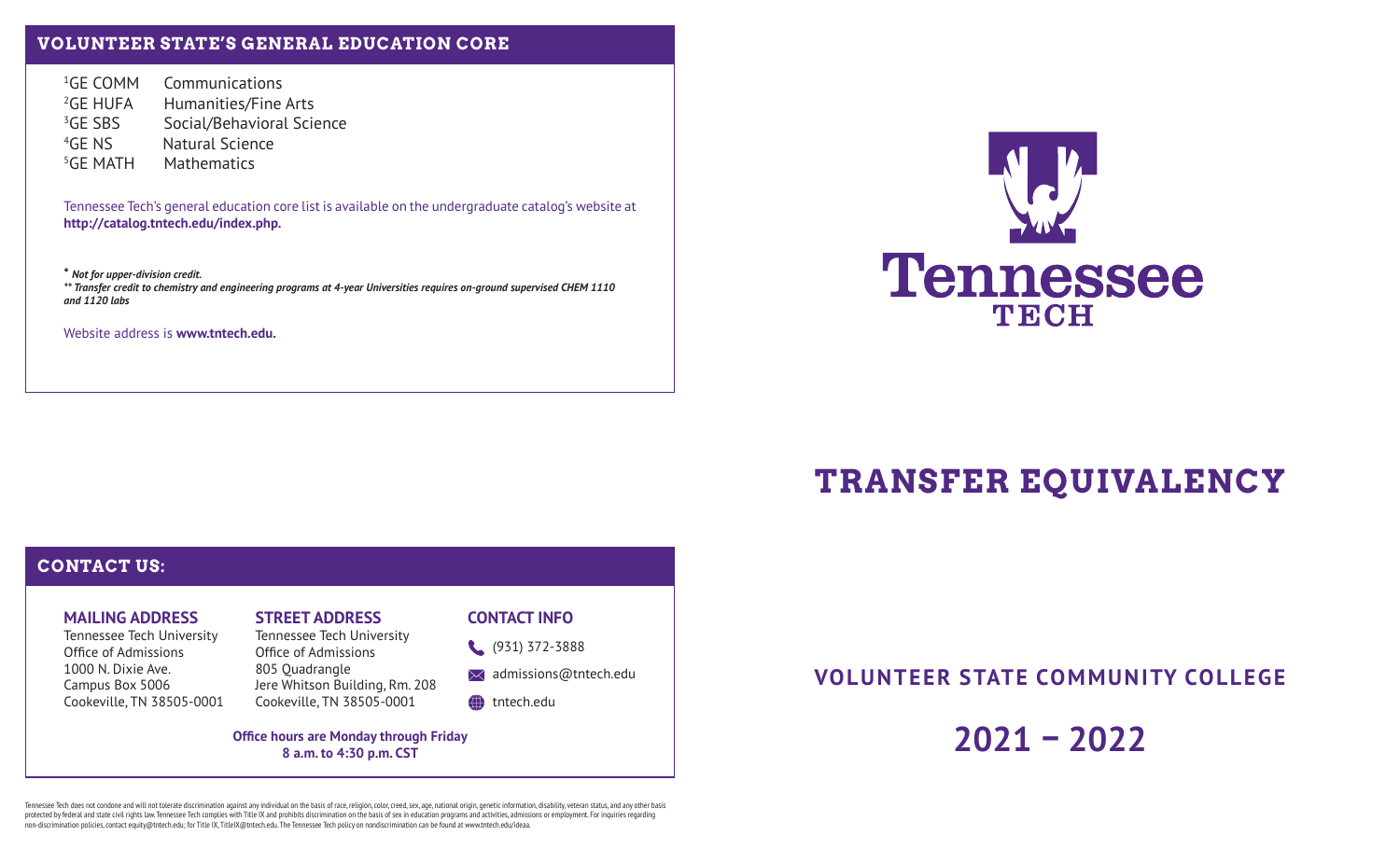## **VOLUNTEER STATE'S GENERAL EDUCATION CORE**

<sup>1</sup>GE COMM Communications <sup>2</sup>GE HUFA Humanities/Fine Arts <sup>3</sup>GE SBS Social/Behavioral Science 4GE NS Natural Science 5GE MATH Mathematics

Tennessee Tech's general education core list is available on the undergraduate catalog's website at **http://catalog.tntech.edu/index.php.**

**\*** *Not for upper-division credit. \*\* Transfer credit to chemistry and engineering programs at 4-year Universities requires on-ground supervised CHEM 1110 and 1120 labs*

Website address is **www.tntech.edu.**



# **TRANSFER EQUIVALENCY**

### **CONTACT US:**

#### **MAILING ADDRESS**

Tennessee Tech University Office of Admissions 1000 N. Dixie Ave.Campus Box 5006 Cookeville, TN 38505-0001

# **STREET ADDRESS**

Tennessee Tech University Office of Admissions 805 Quadrangle Jere Whitson Building, Rm. 208 Cookeville, TN 38505-0001

#### **CONTACT INFO**

(931) 372-3888

 $\bowtie$  admissions@tntech.edu

#### tntech.edu

**Office hours are Monday through Friday 8 a.m. to 4:30 p.m. CST**

**VOLUNTEER STATE COMMUNITY COLLEGE**

**2021 – 2022**

Tennessee Tech does not condone and will not tolerate discrimination against any individual on the basis of race, religion, color, creed, sex, age, national origin, genetic information, disability, veteran status, and any protected by federal and state civil rights law. Tennessee Tech complies with Title IX and prohibits discrimination on the basis of sex in education programs and activities, admissions or employment. For inquiries regarding non-discrimination policies, contact equity@tntech.edu; for Title IX, TitleIX@tntech.edu. The Tennessee Tech policy on nondiscrimination can be found at www.tntech.edu/ideaa.